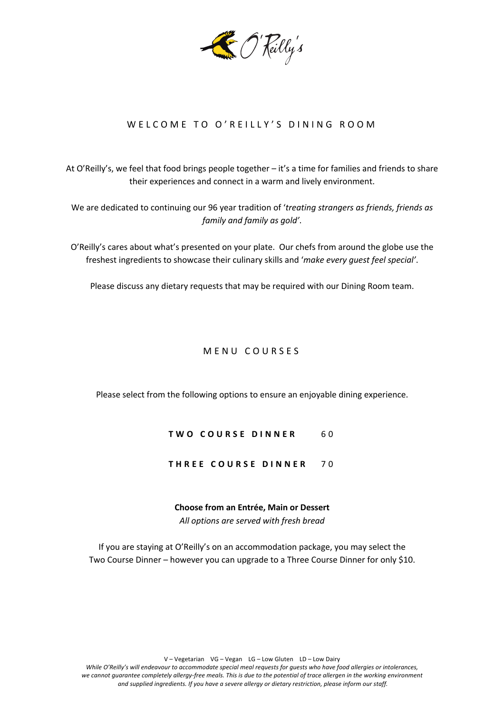

# WELCOME TO O'REILLY'S DINING ROOM

At O'Reilly's, we feel that food brings people together – it's a time for families and friends to share their experiences and connect in a warm and lively environment.

We are dedicated to continuing our 96 year tradition of '*treating strangers as friends, friends as family and family as gold'*.

O'Reilly's cares about what's presented on your plate. Our chefs from around the globe use the freshest ingredients to showcase their culinary skills and '*make every guest feel special'*.

Please discuss any dietary requests that may be required with our Dining Room team.

# MENU COURSES

Please select from the following options to ensure an enjoyable dining experience.

# **TWO COURSE DINNER** 6 0

# **THREE COURSE DINNER** 7 0

### **Choose from an Entrée, Main or Dessert**

*All options are served with fresh bread*

If you are staying at O'Reilly's on an accommodation package, you may select the Two Course Dinner – however you can upgrade to a Three Course Dinner for only \$10.

V – Vegetarian VG – Vegan LG – Low Gluten LD – Low Dairy

*While O'Reilly's will endeavour to accommodate special meal requests for guests who have food allergies or intolerances, we cannot guarantee completely allergy-free meals. This is due to the potential of trace allergen in the working environment and supplied ingredients. If you have a severe allergy or dietary restriction, please inform our staff.*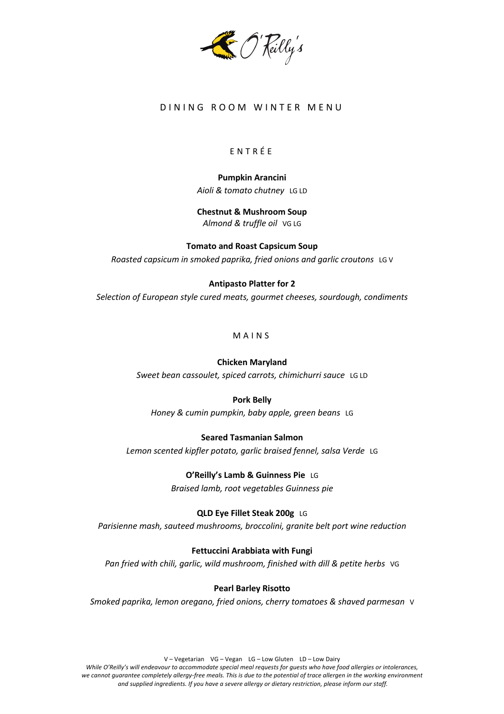

# DINING ROOM WINTER MENU

# ENTRÉ E

**Pumpkin Arancini** *Aioli & tomato chutney* LG LD

**Chestnut & Mushroom Soup** *Almond & truffle oil* VG LG

**Tomato and Roast Capsicum Soup** *Roasted capsicum in smoked paprika, fried onions and garlic croutons* LG V

## **Antipasto Platter for 2**

*Selection of European style cured meats, gourmet cheeses, sourdough, condiments*

MAINS

### **Chicken Maryland**

*Sweet bean cassoulet, spiced carrots, chimichurri sauce* LG LD

# **Pork Belly**

*Honey & cumin pumpkin, baby apple, green beans* LG

### **Seared Tasmanian Salmon**

*Lemon scented kipfler potato, garlic braised fennel, salsa Verde* LG

**O'Reilly's Lamb & Guinness Pie**LG *Braised lamb, root vegetables Guinness pie*

**QLD Eye Fillet Steak 200g**LG *Parisienne mash, sauteed mushrooms, broccolini, granite belt port wine reduction*

# **Fettuccini Arabbiata with Fungi**

Pan fried with chili, garlic, wild mushroom, finished with dill & petite herbs VG

### **Pearl Barley Risotto**

*Smoked paprika, lemon oregano, fried onions, cherry tomatoes & shaved parmesan* V

V – Vegetarian VG – Vegan LG – Low Gluten LD – Low Dairy

*While O'Reilly's will endeavour to accommodate special meal requests for guests who have food allergies or intolerances, we cannot guarantee completely allergy-free meals. This is due to the potential of trace allergen in the working environment and supplied ingredients. If you have a severe allergy or dietary restriction, please inform our staff.*